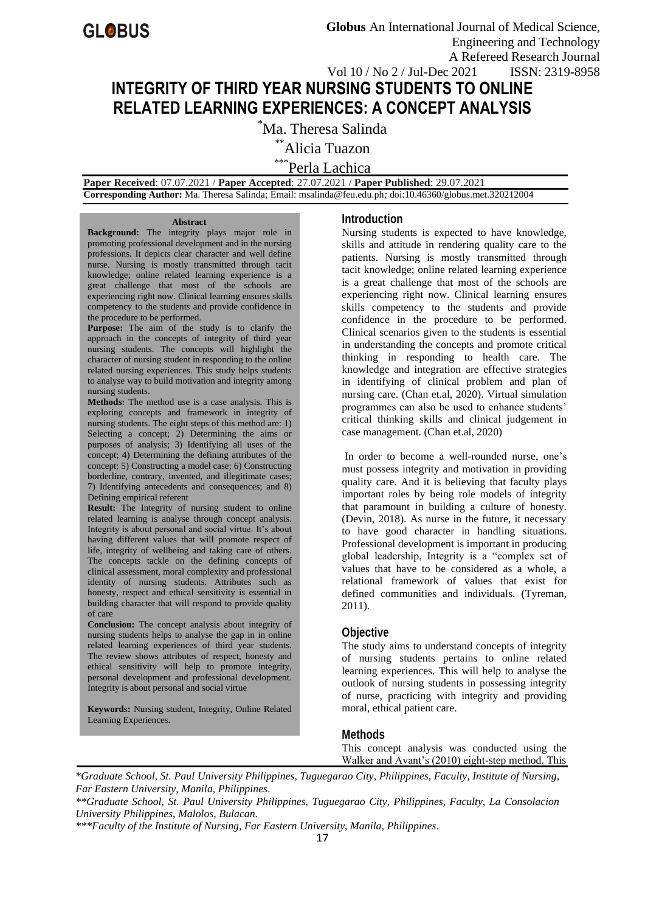# **INTEGRITY OF THIRD YEAR NURSING STUDENTS TO ONLINE RELATED LEARNING EXPERIENCES: A CONCEPT ANALYSIS**

\*Ma. Theresa Salinda

\*\*Alicia Tuazon

\*\*\*Perla Lachica

 **Paper Received**: 07.07.2021 / **Paper Accepted**: 27.07.2021 / **Paper Published**: 29.07.2021  **Corresponding Author:** Ma. Theresa Salinda; Email[: msalinda@feu.edu.ph](mailto:msalinda@feu.edu.ph)*;* doi:10.46360/globus.met.320212004

#### **Abstract**

**Background:** The integrity plays major role in promoting professional development and in the nursing professions. It depicts clear character and well define nurse. Nursing is mostly transmitted through tacit knowledge; online related learning experience is a great challenge that most of the schools are experiencing right now. Clinical learning ensures skills competency to the students and provide confidence in the procedure to be performed.

**Purpose:** The aim of the study is to clarify the approach in the concepts of integrity of third year nursing students. The concepts will highlight the character of nursing student in responding to the online related nursing experiences. This study helps students to analyse way to build motivation and integrity among nursing students.

**Methods:** The method use is a case analysis. This is exploring concepts and framework in integrity of nursing students. The eight steps of this method are: 1) Selecting a concept; 2) Determining the aims or purposes of analysis; 3) Identifying all uses of the concept; 4) Determining the defining attributes of the concept; 5) Constructing a model case; 6) Constructing borderline, contrary, invented, and illegitimate cases; 7) Identifying antecedents and consequences; and 8) Defining empirical referent

**Result:** The Integrity of nursing student to online related learning is analyse through concept analysis. Integrity is about personal and social virtue. It's about having different values that will promote respect of life, integrity of wellbeing and taking care of others. The concepts tackle on the defining concepts of clinical assessment, moral complexity and professional identity of nursing students. Attributes such as honesty, respect and ethical sensitivity is essential in building character that will respond to provide quality of care

**Conclusion:** The concept analysis about integrity of nursing students helps to analyse the gap in in online related learning experiences of third year students. The review shows attributes of respect, honesty and ethical sensitivity will help to promote integrity, personal development and professional development. Integrity is about personal and social virtue

**Keywords:** Nursing student, Integrity, Online Related Learning Experiences.

## **Introduction**

Nursing students is expected to have knowledge, skills and attitude in rendering quality care to the patients. Nursing is mostly transmitted through tacit knowledge; online related learning experience is a great challenge that most of the schools are experiencing right now. Clinical learning ensures skills competency to the students and provide confidence in the procedure to be performed. Clinical scenarios given to the students is essential in understanding the concepts and promote critical thinking in responding to health care. The knowledge and integration are effective strategies in identifying of clinical problem and plan of nursing care. (Chan et.al, 2020). Virtual simulation programmes can also be used to enhance students' critical thinking skills and clinical judgement in case management. (Chan et.al, 2020)

In order to become a well-rounded nurse, one's must possess integrity and motivation in providing quality care. And it is believing that faculty plays important roles by being role models of integrity that paramount in building a culture of honesty. (Devin, 2018). As nurse in the future, it necessary to have good character in handling situations. Professional development is important in producing global leadership, Integrity is a "complex set of values that have to be considered as a whole, a relational framework of values that exist for defined communities and individuals. (Tyreman, 2011).

## **Objective**

The study aims to understand concepts of integrity of nursing students pertains to online related learning experiences. This will help to analyse the outlook of nursing students in possessing integrity of nurse, practicing with integrity and providing moral, ethical patient care.

# **Methods**

This concept analysis was conducted using the Walker and Avant's (2010) eight-step method. This

*\*Graduate School, St. Paul University Philippines, Tuguegarao City, Philippines, Faculty, Institute of Nursing, Far Eastern University, Manila, Philippines.*

*\*\*Graduate School, St. Paul University Philippines, Tuguegarao City, Philippines, Faculty, La Consolacion University Philippines, Malolos, Bulacan.*

*\*\*\*Faculty of the Institute of Nursing, Far Eastern University, Manila, Philippines.*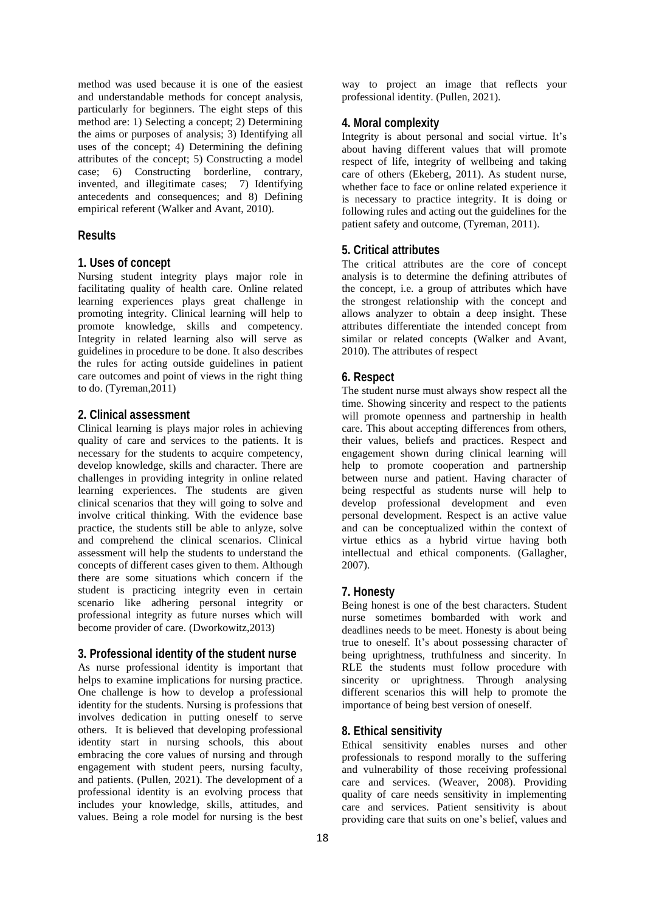method was used because it is one of the easiest and understandable methods for concept analysis, particularly for beginners. The eight steps of this method are: 1) Selecting a concept; 2) Determining the aims or purposes of analysis; 3) Identifying all uses of the concept; 4) Determining the defining attributes of the concept; 5) Constructing a model case; 6) Constructing borderline, contrary, invented, and illegitimate cases; 7) Identifying antecedents and consequences; and 8) Defining empirical referent (Walker and Avant, 2010).

# **Results**

#### **1. Uses of concept**

Nursing student integrity plays major role in facilitating quality of health care. Online related learning experiences plays great challenge in promoting integrity. Clinical learning will help to promote knowledge, skills and competency. Integrity in related learning also will serve as guidelines in procedure to be done. It also describes the rules for acting outside guidelines in patient care outcomes and point of views in the right thing to do. (Tyreman,2011)

#### **2. Clinical assessment**

Clinical learning is plays major roles in achieving quality of care and services to the patients. It is necessary for the students to acquire competency, develop knowledge, skills and character. There are challenges in providing integrity in online related learning experiences. The students are given clinical scenarios that they will going to solve and involve critical thinking. With the evidence base practice, the students still be able to anlyze, solve and comprehend the clinical scenarios. Clinical assessment will help the students to understand the concepts of different cases given to them. Although there are some situations which concern if the student is practicing integrity even in certain scenario like adhering personal integrity or professional integrity as future nurses which will become provider of care. (Dworkowitz,2013)

## **3. Professional identity of the student nurse**

As nurse professional identity is important that helps to examine implications for nursing practice. One challenge is how to develop a professional identity for the students. Nursing is professions that involves dedication in putting oneself to serve others. It is believed that developing professional identity start in nursing schools, this about embracing the core values of nursing and through engagement with student peers, nursing faculty, and patients. (Pullen, 2021). The development of a professional identity is an evolving process that includes your knowledge, skills, attitudes, and values. Being a role model for nursing is the best way to project an image that reflects your professional identity. (Pullen, 2021).

#### **4. Moral complexity**

Integrity is about personal and social virtue. It's about having different values that will promote respect of life, integrity of wellbeing and taking care of others (Ekeberg, 2011). As student nurse, whether face to face or online related experience it is necessary to practice integrity. It is doing or following rules and acting out the guidelines for the patient safety and outcome, (Tyreman, 2011).

## **5. Critical attributes**

The critical attributes are the core of concept analysis is to determine the defining attributes of the concept, i.e. a group of attributes which have the strongest relationship with the concept and allows analyzer to obtain a deep insight. These attributes differentiate the intended concept from similar or related concepts (Walker and Avant, 2010). The attributes of respect

## **6. Respect**

The student nurse must always show respect all the time. Showing sincerity and respect to the patients will promote openness and partnership in health care. This about accepting differences from others, their values, beliefs and practices. Respect and engagement shown during clinical learning will help to promote cooperation and partnership between nurse and patient. Having character of being respectful as students nurse will help to develop professional development and even personal development. Respect is an active value and can be conceptualized within the context of virtue ethics as a hybrid virtue having both intellectual and ethical components. (Gallagher, 2007).

## **7. Honesty**

Being honest is one of the best characters. Student nurse sometimes bombarded with work and deadlines needs to be meet. Honesty is about being true to oneself. It's about possessing character of being uprightness, truthfulness and sincerity. In RLE the students must follow procedure with sincerity or uprightness. Through analysing different scenarios this will help to promote the importance of being best version of oneself.

## **8. Ethical sensitivity**

Ethical sensitivity enables nurses and other professionals to respond morally to the suffering and vulnerability of those receiving professional care and services. (Weaver, 2008). Providing quality of care needs sensitivity in implementing care and services. Patient sensitivity is about providing care that suits on one's belief, values and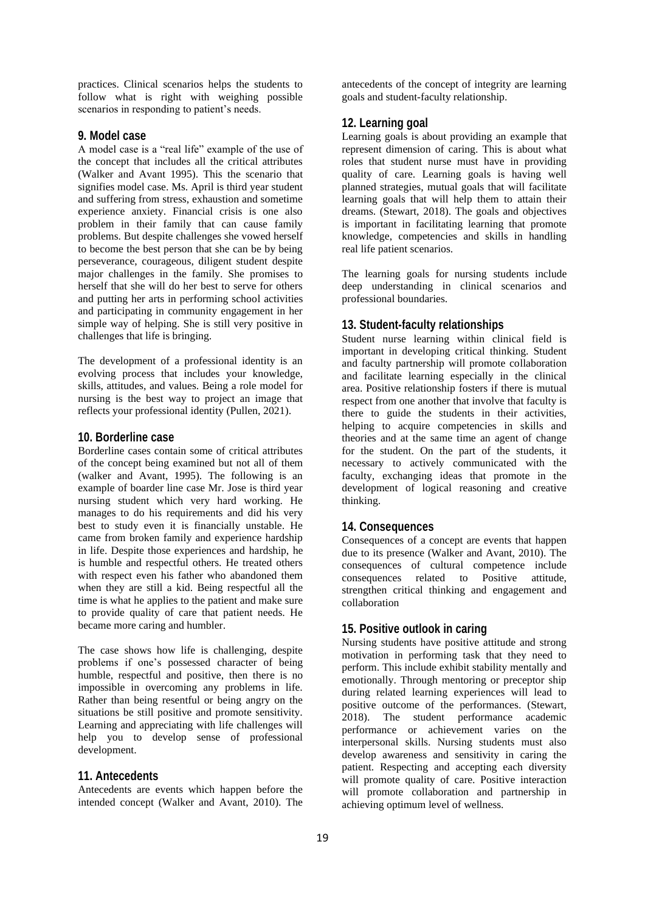practices. Clinical scenarios helps the students to follow what is right with weighing possible scenarios in responding to patient's needs.

## **9. Model case**

A model case is a "real life" example of the use of the concept that includes all the critical attributes (Walker and Avant 1995). This the scenario that signifies model case. Ms. April is third year student and suffering from stress, exhaustion and sometime experience anxiety. Financial crisis is one also problem in their family that can cause family problems. But despite challenges she vowed herself to become the best person that she can be by being perseverance, courageous, diligent student despite major challenges in the family. She promises to herself that she will do her best to serve for others and putting her arts in performing school activities and participating in community engagement in her simple way of helping. She is still very positive in challenges that life is bringing.

The development of a professional identity is an evolving process that includes your knowledge, skills, attitudes, and values. Being a role model for nursing is the best way to project an image that reflects your professional identity (Pullen, 2021).

#### **10. Borderline case**

Borderline cases contain some of critical attributes of the concept being examined but not all of them (walker and Avant, 1995). The following is an example of boarder line case Mr. Jose is third year nursing student which very hard working. He manages to do his requirements and did his very best to study even it is financially unstable. He came from broken family and experience hardship in life. Despite those experiences and hardship, he is humble and respectful others. He treated others with respect even his father who abandoned them when they are still a kid. Being respectful all the time is what he applies to the patient and make sure to provide quality of care that patient needs. He became more caring and humbler.

The case shows how life is challenging, despite problems if one's possessed character of being humble, respectful and positive, then there is no impossible in overcoming any problems in life. Rather than being resentful or being angry on the situations be still positive and promote sensitivity. Learning and appreciating with life challenges will help you to develop sense of professional development.

#### **11. Antecedents**

Antecedents are events which happen before the intended concept (Walker and Avant, 2010). The antecedents of the concept of integrity are learning goals and student-faculty relationship.

# **12. Learning goal**

Learning goals is about providing an example that represent dimension of caring. This is about what roles that student nurse must have in providing quality of care. Learning goals is having well planned strategies, mutual goals that will facilitate learning goals that will help them to attain their dreams. (Stewart, 2018). The goals and objectives is important in facilitating learning that promote knowledge, competencies and skills in handling real life patient scenarios.

The learning goals for nursing students include deep understanding in clinical scenarios and professional boundaries.

### **13. Student-faculty relationships**

Student nurse learning within clinical field is important in developing critical thinking. Student and faculty partnership will promote collaboration and facilitate learning especially in the clinical area. Positive relationship fosters if there is mutual respect from one another that involve that faculty is there to guide the students in their activities, helping to acquire competencies in skills and theories and at the same time an agent of change for the student. On the part of the students, it necessary to actively communicated with the faculty, exchanging ideas that promote in the development of logical reasoning and creative thinking.

#### **14. Consequences**

Consequences of a concept are events that happen due to its presence (Walker and Avant, 2010). The consequences of cultural competence include consequences related to Positive attitude, strengthen critical thinking and engagement and collaboration

#### **15. Positive outlook in caring**

Nursing students have positive attitude and strong motivation in performing task that they need to perform. This include exhibit stability mentally and emotionally. Through mentoring or preceptor ship during related learning experiences will lead to positive outcome of the performances. (Stewart, 2018). The student performance academic performance or achievement varies on the interpersonal skills. Nursing students must also develop awareness and sensitivity in caring the patient. Respecting and accepting each diversity will promote quality of care. Positive interaction will promote collaboration and partnership in achieving optimum level of wellness.